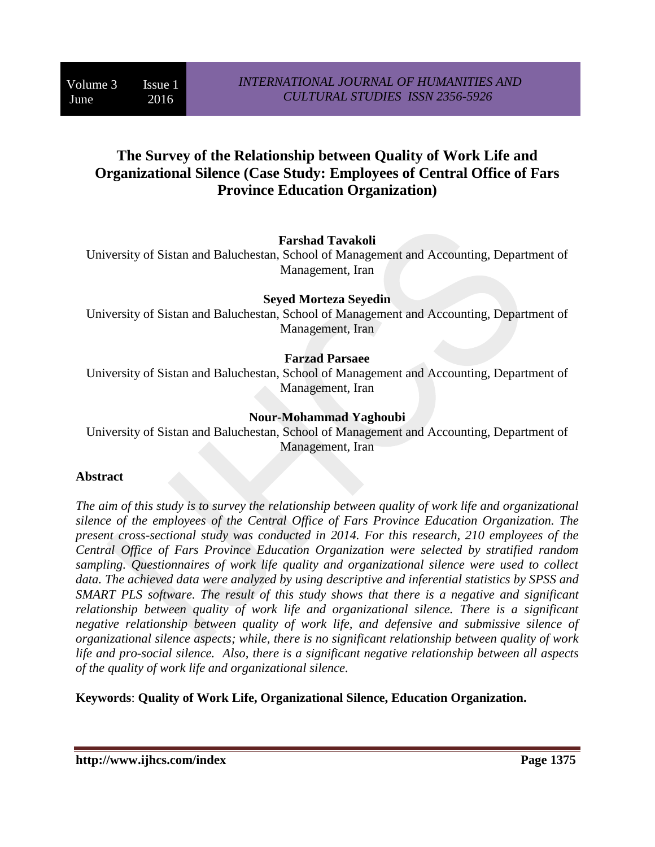# **The Survey of the Relationship between Quality of Work Life and Organizational Silence (Case Study: Employees of Central Office of Fars Province Education Organization)**

#### **Farshad Tavakoli**

University of Sistan and Baluchestan, School of Management and Accounting, Department of Management, Iran

#### **Seyed Morteza Seyedin**

University of Sistan and Baluchestan, School of Management and Accounting, Department of Management, Iran

# **Farzad Parsaee**

University of Sistan and Baluchestan, School of Management and Accounting, Department of Management, Iran

#### **Nour-Mohammad Yaghoubi**

University of Sistan and Baluchestan, School of Management and Accounting, Department of Management, Iran

#### **Abstract**

*The aim of this study is to survey the relationship between quality of work life and organizational silence of the employees of the Central Office of Fars Province Education Organization. The present cross-sectional study was conducted in 2014. For this research, 210 employees of the Central Office of Fars Province Education Organization were selected by stratified random sampling. Questionnaires of work life quality and organizational silence were used to collect data. The achieved data were analyzed by using descriptive and inferential statistics by SPSS and SMART PLS software. The result of this study shows that there is a negative and significant relationship between quality of work life and organizational silence. There is a significant negative relationship between quality of work life, and defensive and submissive silence of organizational silence aspects; while, there is no significant relationship between quality of work life and pro-social silence. Also, there is a significant negative relationship between all aspects of the quality of work life and organizational silence.* 

**Keywords**: **Quality of Work Life, Organizational Silence, Education Organization.**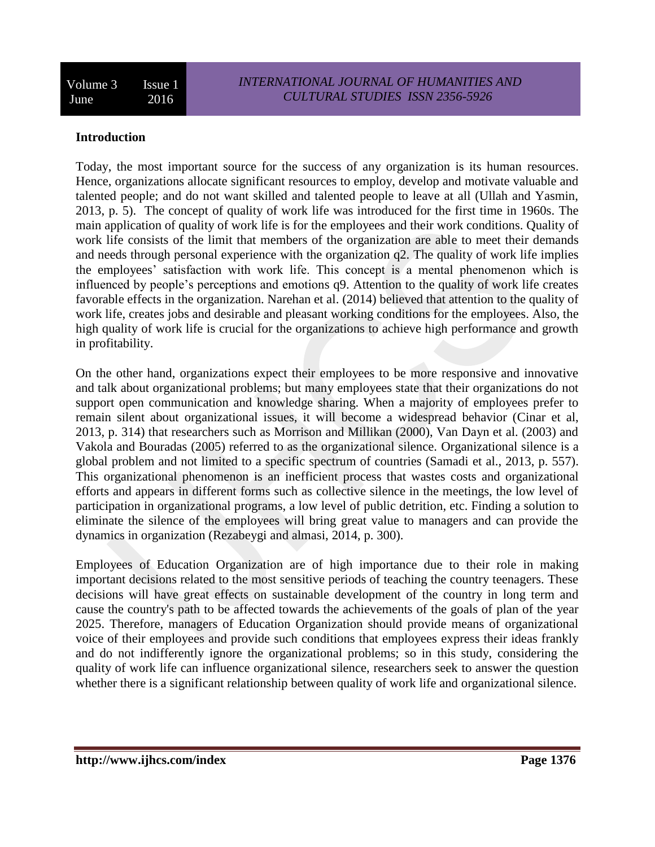#### **Introduction**

Today, the most important source for the success of any organization is its human resources. Hence, organizations allocate significant resources to employ, develop and motivate valuable and talented people; and do not want skilled and talented people to leave at all (Ullah and Yasmin, 2013, p. 5). The concept of quality of work life was introduced for the first time in 1960s. The main application of quality of work life is for the employees and their work conditions. Quality of work life consists of the limit that members of the organization are able to meet their demands and needs through personal experience with the organization q2. The quality of work life implies the employees' satisfaction with work life. This concept is a mental phenomenon which is influenced by people's perceptions and emotions q9. Attention to the quality of work life creates favorable effects in the organization. Narehan et al. (2014) believed that attention to the quality of work life, creates jobs and desirable and pleasant working conditions for the employees. Also, the high quality of work life is crucial for the organizations to achieve high performance and growth in profitability.

On the other hand, organizations expect their employees to be more responsive and innovative and talk about organizational problems; but many employees state that their organizations do not support open communication and knowledge sharing. When a majority of employees prefer to remain silent about organizational issues, it will become a widespread behavior (Cinar et al, 2013, p. 314) that researchers such as Morrison and Millikan (2000), Van Dayn et al. (2003) and Vakola and Bouradas (2005) referred to as the organizational silence. Organizational silence is a global problem and not limited to a specific spectrum of countries (Samadi et al., 2013, p. 557). This organizational phenomenon is an inefficient process that wastes costs and organizational efforts and appears in different forms such as collective silence in the meetings, the low level of participation in organizational programs, a low level of public detrition, etc. Finding a solution to eliminate the silence of the employees will bring great value to managers and can provide the dynamics in organization (Rezabeygi and almasi, 2014, p. 300).

Employees of Education Organization are of high importance due to their role in making important decisions related to the most sensitive periods of teaching the country teenagers. These decisions will have great effects on sustainable development of the country in long term and cause the country's path to be affected towards the achievements of the goals of plan of the year 2025. Therefore, managers of Education Organization should provide means of organizational voice of their employees and provide such conditions that employees express their ideas frankly and do not indifferently ignore the organizational problems; so in this study, considering the quality of work life can influence organizational silence, researchers seek to answer the question whether there is a significant relationship between quality of work life and organizational silence.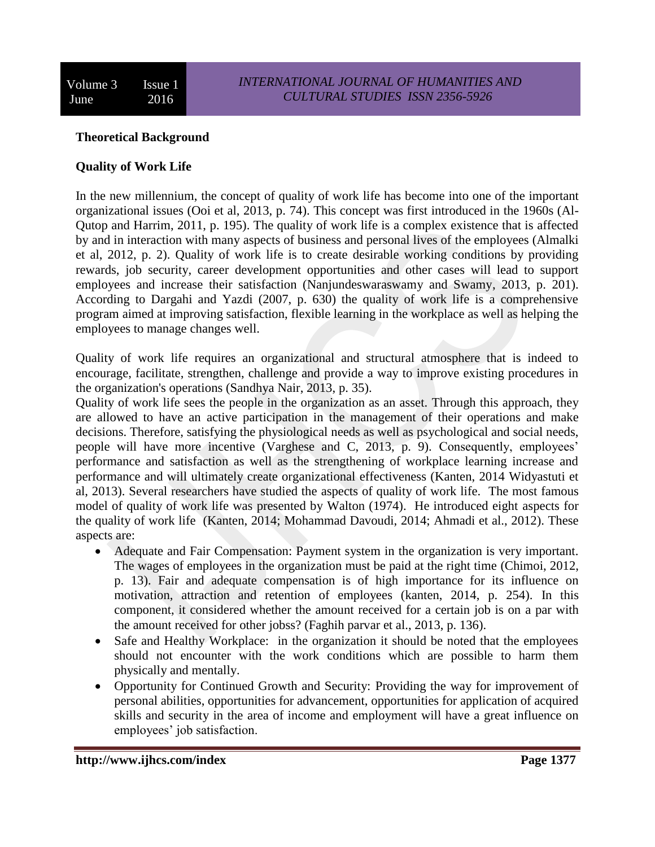#### **Theoretical Background**

#### **Quality of Work Life**

In the new millennium, the concept of quality of work life has become into one of the important organizational issues (Ooi et al, 2013, p. 74). This concept was first introduced in the 1960s (Al-Qutop and Harrim, 2011, p. 195). The quality of work life is a complex existence that is affected by and in interaction with many aspects of business and personal lives of the employees (Almalki et al, 2012, p. 2). Quality of work life is to create desirable working conditions by providing rewards, job security, career development opportunities and other cases will lead to support employees and increase their satisfaction (Nanjundeswaraswamy and Swamy, 2013, p. 201). According to Dargahi and Yazdi (2007, p. 630) the quality of work life is a comprehensive program aimed at improving satisfaction, flexible learning in the workplace as well as helping the employees to manage changes well.

Quality of work life requires an organizational and structural atmosphere that is indeed to encourage, facilitate, strengthen, challenge and provide a way to improve existing procedures in the organization's operations (Sandhya Nair, 2013, p. 35).

Quality of work life sees the people in the organization as an asset. Through this approach, they are allowed to have an active participation in the management of their operations and make decisions. Therefore, satisfying the physiological needs as well as psychological and social needs, people will have more incentive (Varghese and C, 2013, p. 9). Consequently, employees' performance and satisfaction as well as the strengthening of workplace learning increase and performance and will ultimately create organizational effectiveness (Kanten, 2014 Widyastuti et al, 2013). Several researchers have studied the aspects of quality of work life. The most famous model of quality of work life was presented by Walton (1974). He introduced eight aspects for the quality of work life (Kanten, 2014; Mohammad Davoudi, 2014; Ahmadi et al., 2012). These aspects are:

- Adequate and Fair Compensation: Payment system in the organization is very important. The wages of employees in the organization must be paid at the right time (Chimoi, 2012, p. 13). Fair and adequate compensation is of high importance for its influence on motivation, attraction and retention of employees (kanten, 2014, p. 254). In this component, it considered whether the amount received for a certain job is on a par with the amount received for other jobss? (Faghih parvar et al., 2013, p. 136).
- Safe and Healthy Workplace: in the organization it should be noted that the employees should not encounter with the work conditions which are possible to harm them physically and mentally.
- Opportunity for Continued Growth and Security: Providing the way for improvement of personal abilities, opportunities for advancement, opportunities for application of acquired skills and security in the area of income and employment will have a great influence on employees' job satisfaction.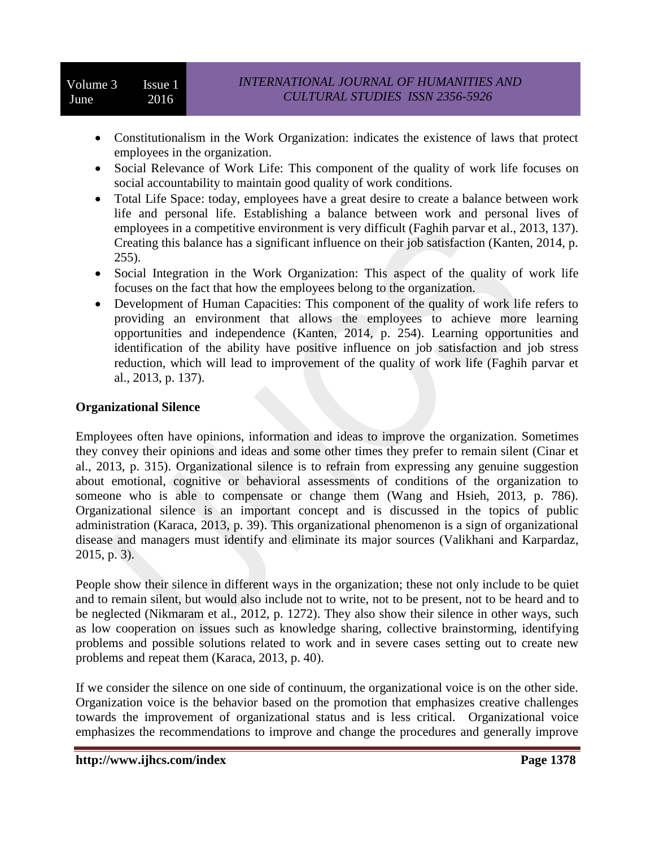- Constitutionalism in the Work Organization: indicates the existence of laws that protect employees in the organization.
- Social Relevance of Work Life: This component of the quality of work life focuses on social accountability to maintain good quality of work conditions.
- Total Life Space: today, employees have a great desire to create a balance between work life and personal life. Establishing a balance between work and personal lives of employees in a competitive environment is very difficult (Faghih parvar et al., 2013, 137). Creating this balance has a significant influence on their job satisfaction (Kanten, 2014, p. 255).
- Social Integration in the Work Organization: This aspect of the quality of work life focuses on the fact that how the employees belong to the organization.
- Development of Human Capacities: This component of the quality of work life refers to providing an environment that allows the employees to achieve more learning opportunities and independence (Kanten, 2014, p. 254). Learning opportunities and identification of the ability have positive influence on job satisfaction and job stress reduction, which will lead to improvement of the quality of work life (Faghih parvar et al., 2013, p. 137).

## **Organizational Silence**

Employees often have opinions, information and ideas to improve the organization. Sometimes they convey their opinions and ideas and some other times they prefer to remain silent (Cinar et al., 2013, p. 315). Organizational silence is to refrain from expressing any genuine suggestion about emotional, cognitive or behavioral assessments of conditions of the organization to someone who is able to compensate or change them (Wang and Hsieh, 2013, p. 786). Organizational silence is an important concept and is discussed in the topics of public administration (Karaca, 2013, p. 39). This organizational phenomenon is a sign of organizational disease and managers must identify and eliminate its major sources (Valikhani and Karpardaz, 2015, p. 3).

People show their silence in different ways in the organization; these not only include to be quiet and to remain silent, but would also include not to write, not to be present, not to be heard and to be neglected (Nikmaram et al., 2012, p. 1272). They also show their silence in other ways, such as low cooperation on issues such as knowledge sharing, collective brainstorming, identifying problems and possible solutions related to work and in severe cases setting out to create new problems and repeat them (Karaca, 2013, p. 40).

If we consider the silence on one side of continuum, the organizational voice is on the other side. Organization voice is the behavior based on the promotion that emphasizes creative challenges towards the improvement of organizational status and is less critical. Organizational voice emphasizes the recommendations to improve and change the procedures and generally improve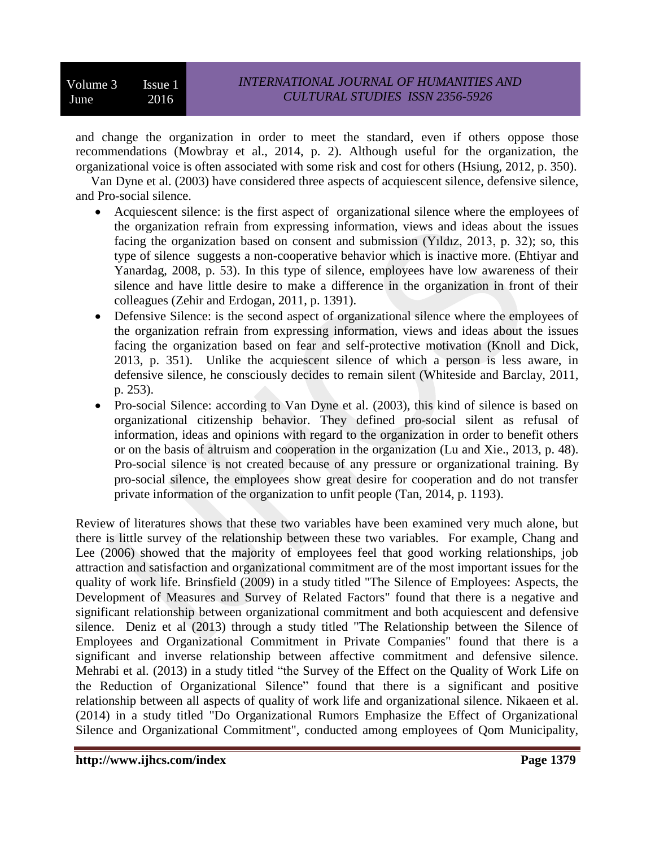and change the organization in order to meet the standard, even if others oppose those recommendations (Mowbray et al., 2014, p. 2). Although useful for the organization, the organizational voice is often associated with some risk and cost for others (Hsiung, 2012, p. 350).

Van Dyne et al. (2003) have considered three aspects of acquiescent silence, defensive silence, and Pro-social silence.

- Acquiescent silence: is the first aspect of organizational silence where the employees of the organization refrain from expressing information, views and ideas about the issues facing the organization based on consent and submission (Yıldız, 2013, p. 32); so, this type of silence suggests a non-cooperative behavior which is inactive more. (Ehtiyar and Yanardag, 2008, p. 53). In this type of silence, employees have low awareness of their silence and have little desire to make a difference in the organization in front of their colleagues (Zehir and Erdogan, 2011, p. 1391).
- Defensive Silence: is the second aspect of organizational silence where the employees of the organization refrain from expressing information, views and ideas about the issues facing the organization based on fear and self-protective motivation (Knoll and Dick, 2013, p. 351). Unlike the acquiescent silence of which a person is less aware, in defensive silence, he consciously decides to remain silent (Whiteside and Barclay, 2011, p. 253).
- Pro-social Silence: according to Van Dyne et al. (2003), this kind of silence is based on organizational citizenship behavior. They defined pro-social silent as refusal of information, ideas and opinions with regard to the organization in order to benefit others or on the basis of altruism and cooperation in the organization (Lu and Xie., 2013, p. 48). Pro-social silence is not created because of any pressure or organizational training. By pro-social silence, the employees show great desire for cooperation and do not transfer private information of the organization to unfit people (Tan, 2014, p. 1193).

Review of literatures shows that these two variables have been examined very much alone, but there is little survey of the relationship between these two variables. For example, Chang and Lee (2006) showed that the majority of employees feel that good working relationships, job attraction and satisfaction and organizational commitment are of the most important issues for the quality of work life. Brinsfield (2009) in a study titled "The Silence of Employees: Aspects, the Development of Measures and Survey of Related Factors" found that there is a negative and significant relationship between organizational commitment and both acquiescent and defensive silence. Deniz et al (2013) through a study titled "The Relationship between the Silence of Employees and Organizational Commitment in Private Companies" found that there is a significant and inverse relationship between affective commitment and defensive silence. Mehrabi et al. (2013) in a study titled "the Survey of the Effect on the Quality of Work Life on the Reduction of Organizational Silence" found that there is a significant and positive relationship between all aspects of quality of work life and organizational silence. Nikaeen et al. (2014) in a study titled "Do Organizational Rumors Emphasize the Effect of Organizational Silence and Organizational Commitment", conducted among employees of Qom Municipality,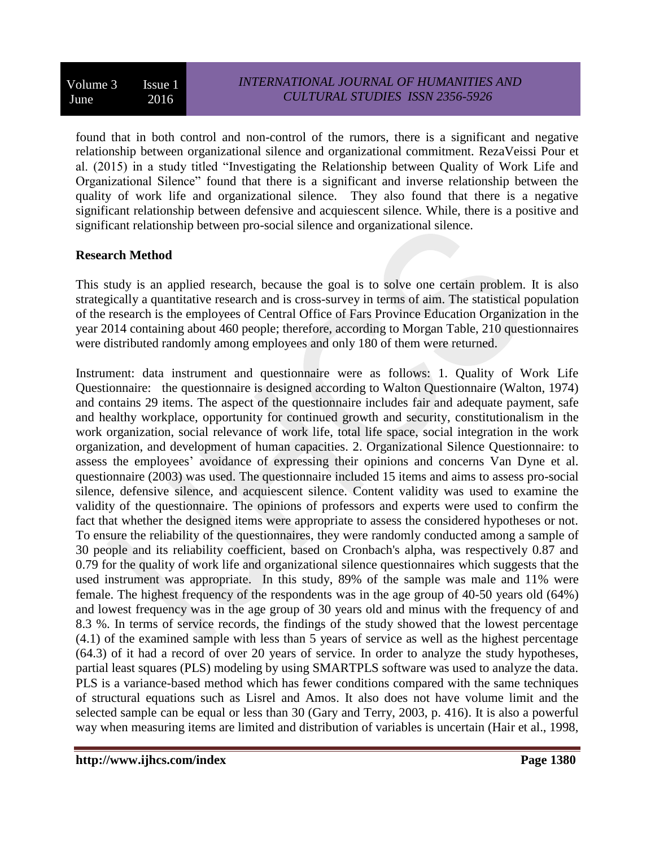found that in both control and non-control of the rumors, there is a significant and negative relationship between organizational silence and organizational commitment. RezaVeissi Pour et al. (2015) in a study titled "Investigating the Relationship between Quality of Work Life and Organizational Silence" found that there is a significant and inverse relationship between the quality of work life and organizational silence. They also found that there is a negative significant relationship between defensive and acquiescent silence. While, there is a positive and significant relationship between pro-social silence and organizational silence.

## **Research Method**

This study is an applied research, because the goal is to solve one certain problem. It is also strategically a quantitative research and is cross-survey in terms of aim. The statistical population of the research is the employees of Central Office of Fars Province Education Organization in the year 2014 containing about 460 people; therefore, according to Morgan Table, 210 questionnaires were distributed randomly among employees and only 180 of them were returned.

Instrument: data instrument and questionnaire were as follows: 1. Quality of Work Life Questionnaire: the questionnaire is designed according to Walton Questionnaire (Walton, 1974) and contains 29 items. The aspect of the questionnaire includes fair and adequate payment, safe and healthy workplace, opportunity for continued growth and security, constitutionalism in the work organization, social relevance of work life, total life space, social integration in the work organization, and development of human capacities. 2. Organizational Silence Questionnaire: to assess the employees' avoidance of expressing their opinions and concerns Van Dyne et al. questionnaire (2003) was used. The questionnaire included 15 items and aims to assess pro-social silence, defensive silence, and acquiescent silence. Content validity was used to examine the validity of the questionnaire. The opinions of professors and experts were used to confirm the fact that whether the designed items were appropriate to assess the considered hypotheses or not. To ensure the reliability of the questionnaires, they were randomly conducted among a sample of 30 people and its reliability coefficient, based on Cronbach's alpha, was respectively 0.87 and 0.79 for the quality of work life and organizational silence questionnaires which suggests that the used instrument was appropriate. In this study, 89% of the sample was male and 11% were female. The highest frequency of the respondents was in the age group of 40-50 years old (64%) and lowest frequency was in the age group of 30 years old and minus with the frequency of and 8.3 %. In terms of service records, the findings of the study showed that the lowest percentage (4.1) of the examined sample with less than 5 years of service as well as the highest percentage (64.3) of it had a record of over 20 years of service. In order to analyze the study hypotheses, partial least squares (PLS) modeling by using SMARTPLS software was used to analyze the data. PLS is a variance-based method which has fewer conditions compared with the same techniques of structural equations such as Lisrel and Amos. It also does not have volume limit and the selected sample can be equal or less than 30 (Gary and Terry, 2003, p. 416). It is also a powerful way when measuring items are limited and distribution of variables is uncertain (Hair et al., 1998,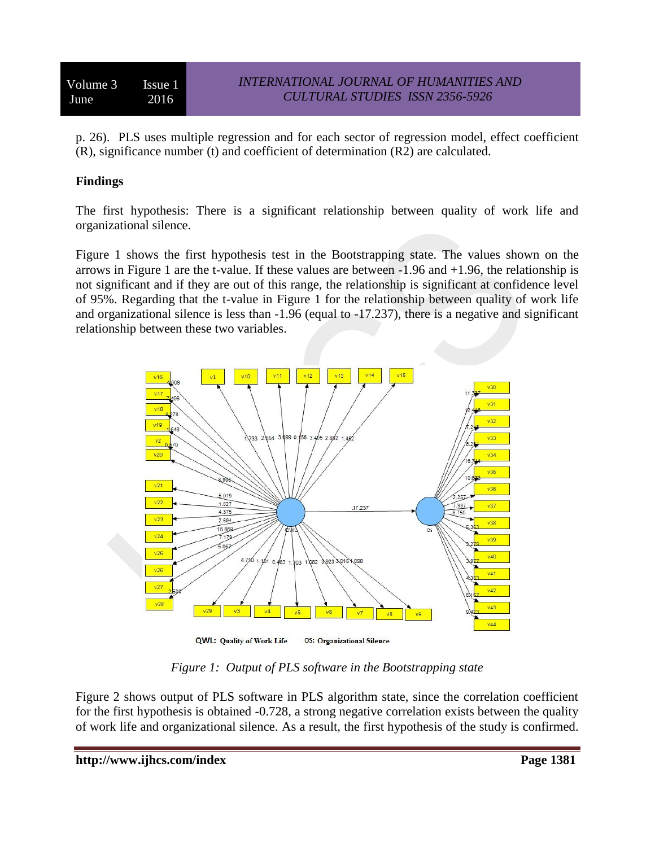p. 26). PLS uses multiple regression and for each sector of regression model, effect coefficient (R), significance number (t) and coefficient of determination (R2) are calculated.

# **Findings**

The first hypothesis: There is a significant relationship between quality of work life and organizational silence.

Figure 1 shows the first hypothesis test in the Bootstrapping state. The values shown on the arrows in Figure 1 are the t-value. If these values are between  $-1.96$  and  $+1.96$ , the relationship is not significant and if they are out of this range, the relationship is significant at confidence level of 95%. Regarding that the t-value in Figure 1 for the relationship between quality of work life and organizational silence is less than -1.96 (equal to -17.237), there is a negative and significant relationship between these two variables.



*Figure 1: Output of PLS software in the Bootstrapping state*

Figure 2 shows output of PLS software in PLS algorithm state, since the correlation coefficient for the first hypothesis is obtained -0.728, a strong negative correlation exists between the quality of work life and organizational silence. As a result, the first hypothesis of the study is confirmed.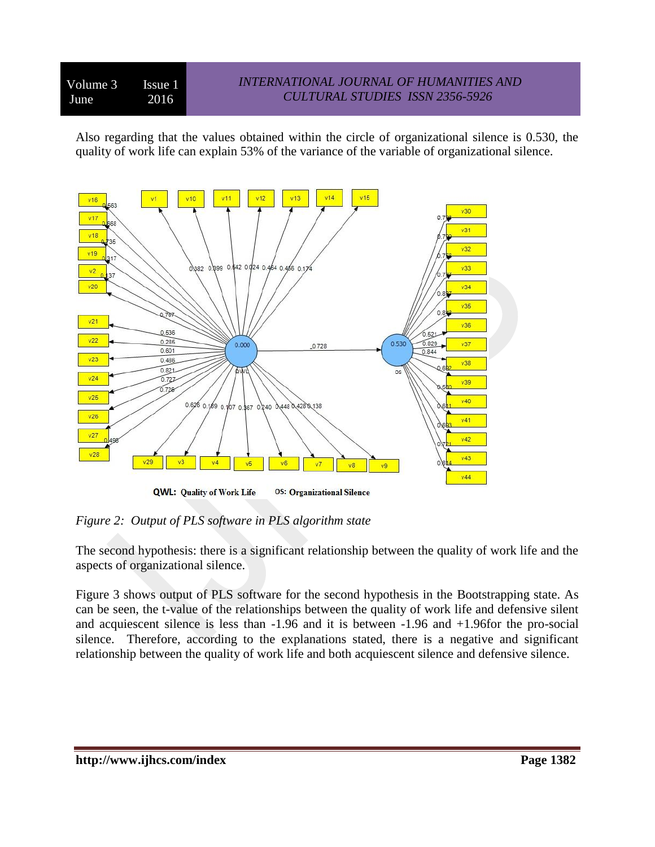# *INTERNATIONAL JOURNAL OF HUMANITIES AND CULTURAL STUDIES ISSN 2356-5926*

Also regarding that the values obtained within the circle of organizational silence is 0.530, the quality of work life can explain 53% of the variance of the variable of organizational silence.



*Figure 2: Output of PLS software in PLS algorithm state*

The second hypothesis: there is a significant relationship between the quality of work life and the aspects of organizational silence.

Figure 3 shows output of PLS software for the second hypothesis in the Bootstrapping state. As can be seen, the t-value of the relationships between the quality of work life and defensive silent and acquiescent silence is less than -1.96 and it is between -1.96 and +1.96for the pro-social silence. Therefore, according to the explanations stated, there is a negative and significant relationship between the quality of work life and both acquiescent silence and defensive silence.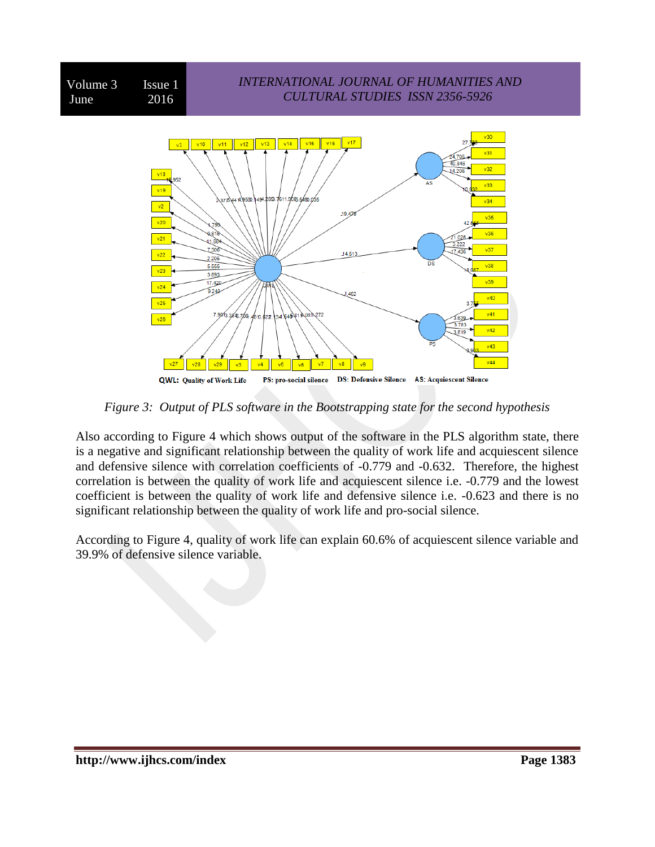

*Figure 3: Output of PLS software in the Bootstrapping state for the second hypothesis*

Also according to Figure 4 which shows output of the software in the PLS algorithm state, there is a negative and significant relationship between the quality of work life and acquiescent silence and defensive silence with correlation coefficients of -0.779 and -0.632. Therefore, the highest correlation is between the quality of work life and acquiescent silence i.e. -0.779 and the lowest coefficient is between the quality of work life and defensive silence i.e. -0.623 and there is no significant relationship between the quality of work life and pro-social silence.

According to Figure 4, quality of work life can explain 60.6% of acquiescent silence variable and 39.9% of defensive silence variable.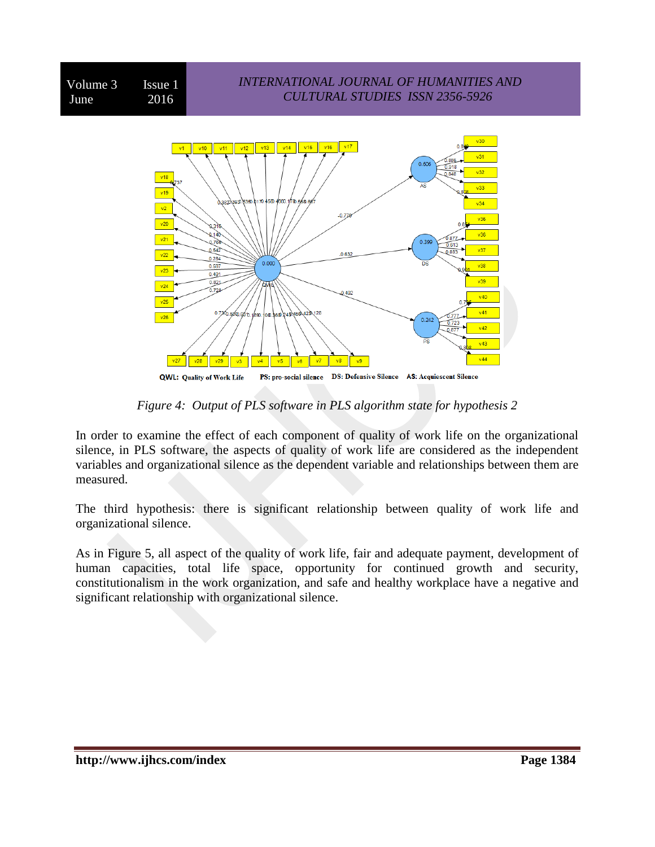

**QWL: Quality of Work Life** 

*Figure 4: Output of PLS software in PLS algorithm state for hypothesis 2*

In order to examine the effect of each component of quality of work life on the organizational silence, in PLS software, the aspects of quality of work life are considered as the independent variables and organizational silence as the dependent variable and relationships between them are measured.

The third hypothesis: there is significant relationship between quality of work life and organizational silence.

As in Figure 5, all aspect of the quality of work life, fair and adequate payment, development of human capacities, total life space, opportunity for continued growth and security, constitutionalism in the work organization, and safe and healthy workplace have a negative and significant relationship with organizational silence.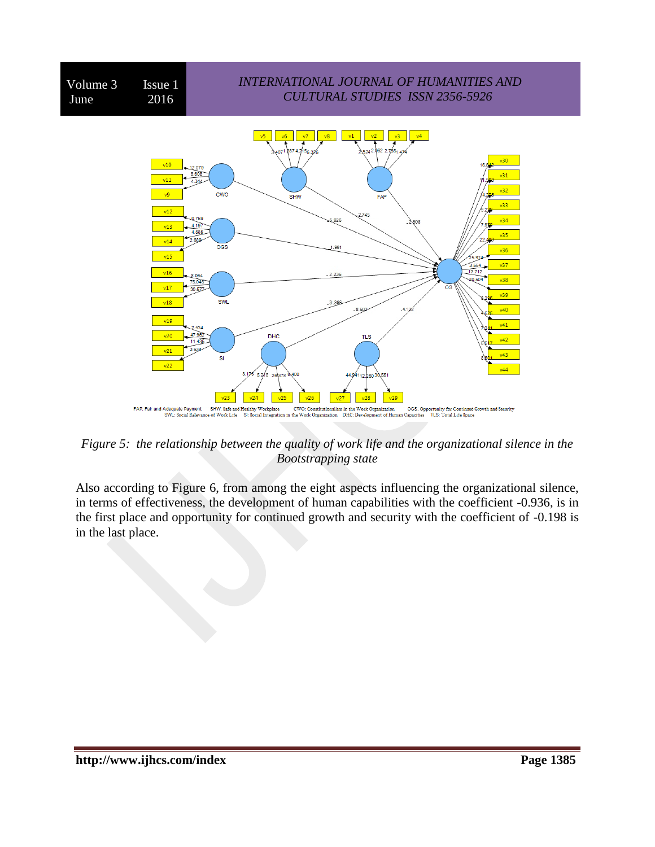

*Figure 5: the relationship between the quality of work life and the organizational silence in the Bootstrapping state*

Also according to Figure 6, from among the eight aspects influencing the organizational silence, in terms of effectiveness, the development of human capabilities with the coefficient -0.936, is in the first place and opportunity for continued growth and security with the coefficient of -0.198 is in the last place.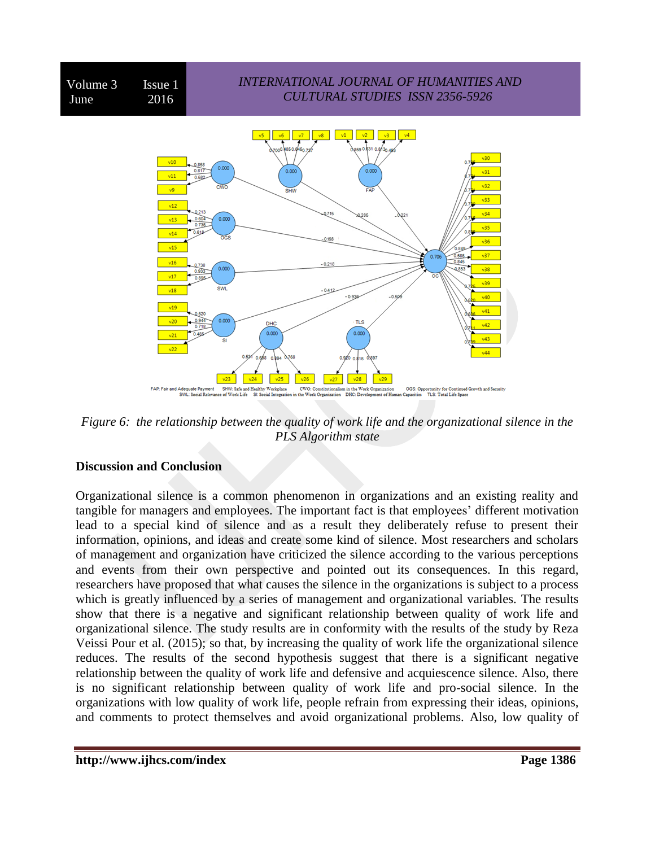

*Figure 6: the relationship between the quality of work life and the organizational silence in the PLS Algorithm state*

#### **Discussion and Conclusion**

Organizational silence is a common phenomenon in organizations and an existing reality and tangible for managers and employees. The important fact is that employees' different motivation lead to a special kind of silence and as a result they deliberately refuse to present their information, opinions, and ideas and create some kind of silence. Most researchers and scholars of management and organization have criticized the silence according to the various perceptions and events from their own perspective and pointed out its consequences. In this regard, researchers have proposed that what causes the silence in the organizations is subject to a process which is greatly influenced by a series of management and organizational variables. The results show that there is a negative and significant relationship between quality of work life and organizational silence. The study results are in conformity with the results of the study by Reza Veissi Pour et al. (2015); so that, by increasing the quality of work life the organizational silence reduces. The results of the second hypothesis suggest that there is a significant negative relationship between the quality of work life and defensive and acquiescence silence. Also, there is no significant relationship between quality of work life and pro-social silence. In the organizations with low quality of work life, people refrain from expressing their ideas, opinions, and comments to protect themselves and avoid organizational problems. Also, low quality of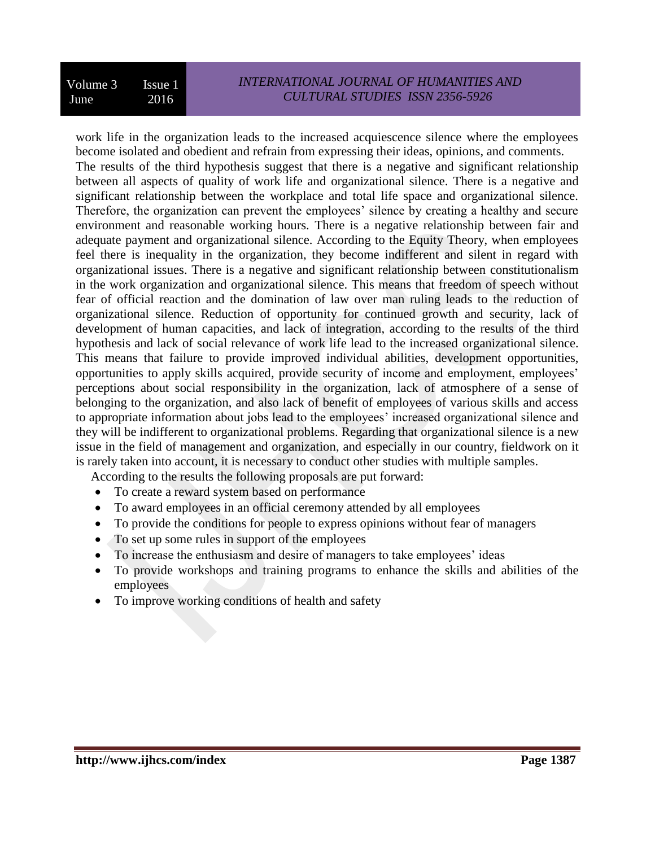work life in the organization leads to the increased acquiescence silence where the employees become isolated and obedient and refrain from expressing their ideas, opinions, and comments.

The results of the third hypothesis suggest that there is a negative and significant relationship between all aspects of quality of work life and organizational silence. There is a negative and significant relationship between the workplace and total life space and organizational silence. Therefore, the organization can prevent the employees' silence by creating a healthy and secure environment and reasonable working hours. There is a negative relationship between fair and adequate payment and organizational silence. According to the Equity Theory, when employees feel there is inequality in the organization, they become indifferent and silent in regard with organizational issues. There is a negative and significant relationship between constitutionalism in the work organization and organizational silence. This means that freedom of speech without fear of official reaction and the domination of law over man ruling leads to the reduction of organizational silence. Reduction of opportunity for continued growth and security, lack of development of human capacities, and lack of integration, according to the results of the third hypothesis and lack of social relevance of work life lead to the increased organizational silence. This means that failure to provide improved individual abilities, development opportunities, opportunities to apply skills acquired, provide security of income and employment, employees' perceptions about social responsibility in the organization, lack of atmosphere of a sense of belonging to the organization, and also lack of benefit of employees of various skills and access to appropriate information about jobs lead to the employees' increased organizational silence and they will be indifferent to organizational problems. Regarding that organizational silence is a new issue in the field of management and organization, and especially in our country, fieldwork on it is rarely taken into account, it is necessary to conduct other studies with multiple samples.

According to the results the following proposals are put forward:

- To create a reward system based on performance
- To award employees in an official ceremony attended by all employees
- To provide the conditions for people to express opinions without fear of managers
- To set up some rules in support of the employees
- To increase the enthusiasm and desire of managers to take employees' ideas
- To provide workshops and training programs to enhance the skills and abilities of the employees
- To improve working conditions of health and safety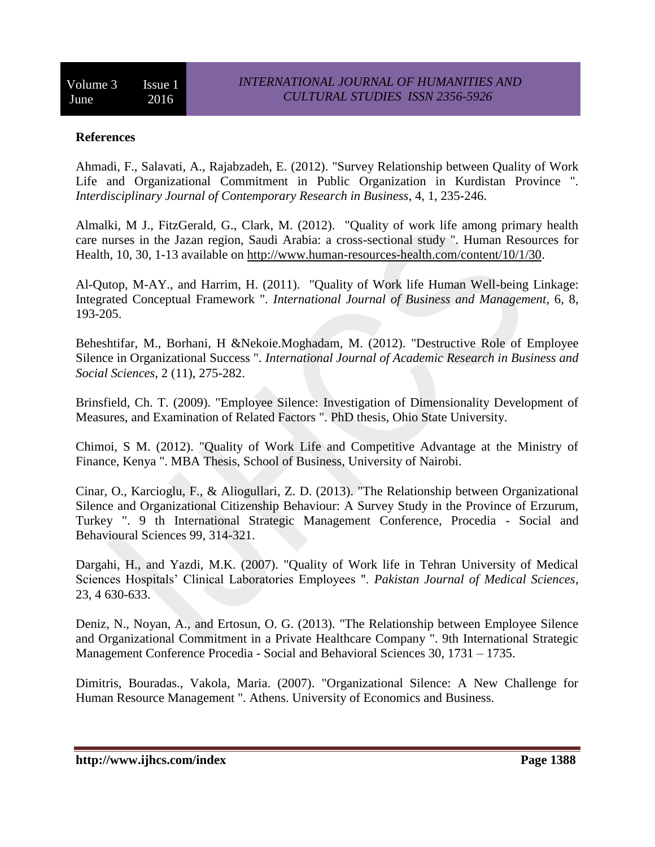#### **References**

Ahmadi, F., Salavati, A., Rajabzadeh, E. (2012). "Survey Relationship between Quality of Work Life and Organizational Commitment in Public Organization in Kurdistan Province ". *Interdisciplinary Journal of Contemporary Research in Business*, 4, 1, 235-246.

Almalki, M J., FitzGerald, G., Clark, M. (2012). "Quality of work life among primary health care nurses in the Jazan region, Saudi Arabia: a cross-sectional study ". Human Resources for Health, 10, 30, 1-13 available on [http://www.human-resources-health.com/content/10/1/30.](http://www.human-resources-health.com/content/10/1/30)

Al-Qutop, M-AY., and Harrim, H. (2011). "Quality of Work life Human Well-being Linkage: Integrated Conceptual Framework ". *International Journal of Business and Management*, 6, 8, 193-205.

Beheshtifar, M., Borhani, H &Nekoie.Moghadam, M. (2012). "Destructive Role of Employee Silence in Organizational Success ". *International Journal of Academic Research in Business and Social Sciences*, 2 (11), 275-282.

Brinsfield, Ch. T. (2009). "Employee Silence: Investigation of Dimensionality Development of Measures, and Examination of Related Factors ". PhD thesis, Ohio State University.

Chimoi, S M. (2012). "Quality of Work Life and Competitive Advantage at the Ministry of Finance, Kenya ". MBA Thesis, School of Business, University of Nairobi.

Cinar, O., Karcioglu, F., & Aliogullari, Z. D. (2013). "The Relationship between Organizational Silence and Organizational Citizenship Behaviour: A Survey Study in the Province of Erzurum, Turkey ". 9 th International Strategic Management Conference, Procedia - Social and Behavioural Sciences 99, 314-321.

Dargahi, H., and Yazdi, M.K. (2007). "Quality of Work life in Tehran University of Medical Sciences Hospitals' Clinical Laboratories Employees ". *Pakistan Journal of Medical Sciences*, 23, 4 630-633.

Deniz, N., Noyan, A., and Ertosun, O. G. (2013). "The Relationship between Employee Silence and Organizational Commitment in a Private Healthcare Company ". 9th International Strategic Management Conference Procedia - Social and Behavioral Sciences 30, 1731 – 1735.

Dimitris, Bouradas., Vakola, Maria. (2007). "Organizational Silence: A New Challenge for Human Resource Management ". Athens. University of Economics and Business.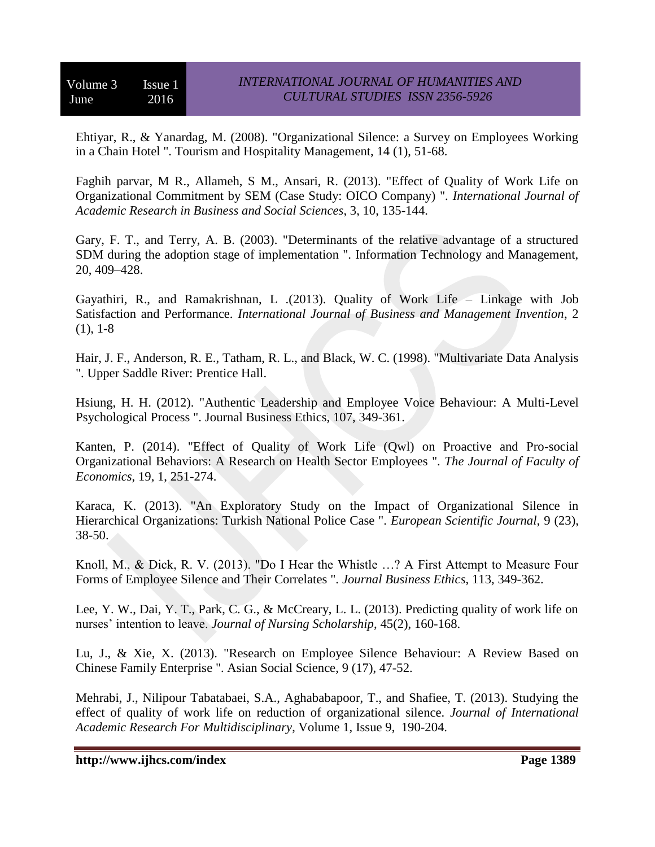Ehtiyar, R., & Yanardag, M. (2008). "Organizational Silence: a Survey on Employees Working in a Chain Hotel ". Tourism and Hospitality Management, 14 (1), 51-68.

Faghih parvar, M R., Allameh, S M., Ansari, R. (2013). "Effect of Quality of Work Life on Organizational Commitment by SEM (Case Study: OICO Company) ". *International Journal of Academic Research in Business and Social Sciences*, 3, 10, 135-144.

Gary, F. T., and Terry, A. B. (2003). "Determinants of the relative advantage of a structured SDM during the adoption stage of implementation ". Information Technology and Management, 20, 409–428.

Gayathiri, R., and Ramakrishnan, L .(2013). Quality of Work Life – Linkage with Job Satisfaction and Performance. *International Journal of Business and Management Invention*, 2 (1), 1-8

Hair, J. F., Anderson, R. E., Tatham, R. L., and Black, W. C. (1998). "Multivariate Data Analysis ". Upper Saddle River: Prentice Hall.

Hsiung, H. H. (2012). "Authentic Leadership and Employee Voice Behaviour: A Multi-Level Psychological Process ". Journal Business Ethics, 107, 349-361.

Kanten, P. (2014). "Effect of Quality of Work Life (Qwl) on Proactive and Pro-social Organizational Behaviors: A Research on Health Sector Employees ". *The Journal of Faculty of Economics*, 19, 1, 251-274.

Karaca, K. (2013). "An Exploratory Study on the Impact of Organizational Silence in Hierarchical Organizations: Turkish National Police Case ". *European Scientific Journal,* 9 (23), 38-50.

Knoll, M., & Dick, R. V. (2013). "Do I Hear the Whistle …? A First Attempt to Measure Four Forms of Employee Silence and Their Correlates ". *Journal Business Ethics*, 113, 349-362.

Lee, Y. W., Dai, Y. T., Park, C. G., & McCreary, L. L. (2013). Predicting quality of work life on nurses' intention to leave. *Journal of Nursing Scholarship*, 45(2), 160-168.

Lu, J., & Xie, X. (2013). "Research on Employee Silence Behaviour: A Review Based on Chinese Family Enterprise ". Asian Social Science, 9 (17), 47-52.

Mehrabi, J., Nilipour Tabatabaei, S.A., Aghababapoor, T., and Shafiee, T. (2013). Studying the effect of quality of work life on reduction of organizational silence. *Journal of International Academic Research For Multidisciplinary*, Volume 1, Issue 9, 190-204.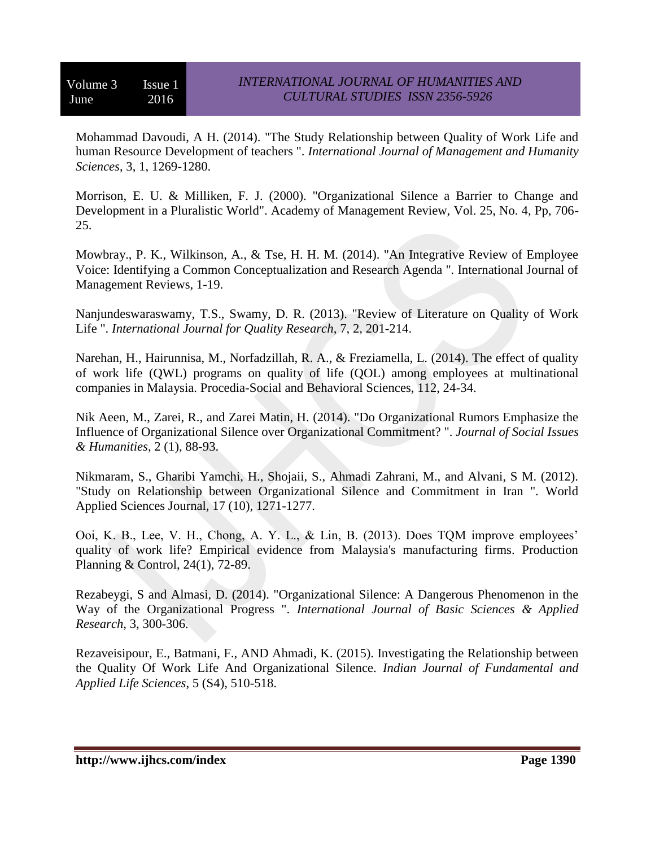Mohammad Davoudi, A H. (2014). "The Study Relationship between Quality of Work Life and human Resource Development of teachers ". *International Journal of Management and Humanity Sciences*, 3, 1, 1269-1280.

Morrison, E. U. & Milliken, F. J. (2000). "Organizational Silence a Barrier to Change and Development in a Pluralistic World". Academy of Management Review, Vol. 25, No. 4, Pp, 706- 25.

Mowbray., P. K., Wilkinson, A., & Tse, H. H. M. (2014). "An Integrative Review of Employee Voice: Identifying a Common Conceptualization and Research Agenda ". International Journal of Management Reviews, 1-19.

Nanjundeswaraswamy, T.S., Swamy, D. R. (2013). "Review of Literature on Quality of Work Life ". *International Journal for Quality Research*, 7, 2, 201-214.

Narehan, H., Hairunnisa, M., Norfadzillah, R. A., & Freziamella, L. (2014). The effect of quality of work life (QWL) programs on quality of life (QOL) among employees at multinational companies in Malaysia. Procedia-Social and Behavioral Sciences, 112, 24-34.

Nik Aeen, M., Zarei, R., and Zarei Matin, H. (2014). "Do Organizational Rumors Emphasize the Influence of Organizational Silence over Organizational Commitment? ". *Journal of Social Issues & Humanities*, 2 (1), 88-93.

Nikmaram, S., Gharibi Yamchi, H., Shojaii, S., Ahmadi Zahrani, M., and Alvani, S M. (2012). "Study on Relationship between Organizational Silence and Commitment in Iran ". World Applied Sciences Journal, 17 (10), 1271-1277.

Ooi, K. B., Lee, V. H., Chong, A. Y. L., & Lin, B. (2013). Does TQM improve employees' quality of work life? Empirical evidence from Malaysia's manufacturing firms. Production Planning & Control, 24(1), 72-89.

Rezabeygi, S and Almasi, D. (2014). "Organizational Silence: A Dangerous Phenomenon in the Way of the Organizational Progress ". *International Journal of Basic Sciences & Applied Research*, 3, 300-306.

Rezaveisipour, E., Batmani, F., AND Ahmadi, K. (2015). Investigating the Relationship between the Quality Of Work Life And Organizational Silence. *Indian Journal of Fundamental and Applied Life Sciences*, 5 (S4), 510-518.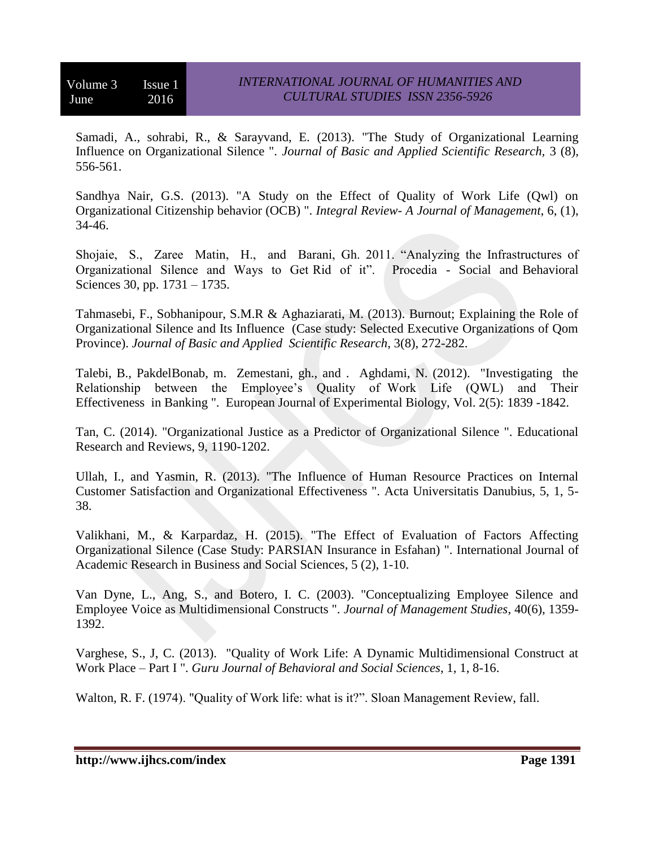Samadi, A., sohrabi, R., & Sarayvand, E. (2013). "The Study of Organizational Learning Influence on Organizational Silence ". *Journal of Basic and Applied Scientific Research,* 3 (8), 556-561.

Sandhya Nair, G.S. (2013). "A Study on the Effect of Quality of Work Life (Qwl) on Organizational Citizenship behavior (OCB) ". *Integral Review- A Journal of Management*, 6, (1), 34-46.

Shojaie, S., Zaree Matin, H., and Barani, Gh. 2011. "Analyzing the Infrastructures of Organizational Silence and Ways to Get Rid of it". Procedia - Social and Behavioral Sciences 30, pp. 1731 – 1735.

Tahmasebi, F., Sobhanipour, S.M.R & Aghaziarati, M. (2013). Burnout; Explaining the Role of Organizational Silence and Its Influence (Case study: Selected Executive Organizations of Qom Province). *Journal of Basic and Applied Scientific Research*, 3(8), 272-282.

Talebi, B., PakdelBonab, m. Zemestani, gh., and . Aghdami, N. (2012). "Investigating the Relationship between the Employee's Quality of Work Life (QWL) and Their Effectiveness in Banking ". European Journal of Experimental Biology, Vol. 2(5): 1839 -1842.

Tan, C. (2014). "Organizational Justice as a Predictor of Organizational Silence ". Educational Research and Reviews, 9, 1190-1202.

Ullah, I., and Yasmin, R. (2013). "The Influence of Human Resource Practices on Internal Customer Satisfaction and Organizational Effectiveness ". Acta Universitatis Danubius, 5, 1, 5- 38.

Valikhani, M., & Karpardaz, H. (2015). "The Effect of Evaluation of Factors Affecting Organizational Silence (Case Study: PARSIAN Insurance in Esfahan) ". International Journal of Academic Research in Business and Social Sciences, 5 (2), 1-10.

Van Dyne, L., Ang, S., and Botero, I. C. (2003). "Conceptualizing Employee Silence and Employee Voice as Multidimensional Constructs ". *Journal of Management Studies*, 40(6), 1359- 1392.

Varghese, S., J, C. (2013). "Quality of Work Life: A Dynamic Multidimensional Construct at Work Place – Part I ". *Guru Journal of Behavioral and Social Sciences*, 1, 1, 8-16.

Walton, R. F. (1974). "Quality of Work life: what is it?". Sloan Management Review, fall.